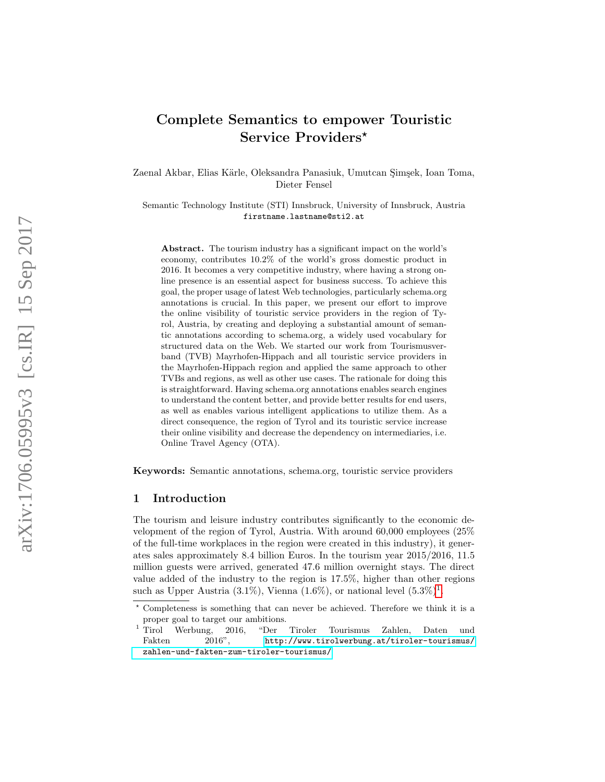# Complete Semantics to empower Touristic Service Providers\*

Zaenal Akbar, Elias Kärle, Oleksandra Panasiuk, Umutcan Şimşek, Ioan Toma, Dieter Fensel

Semantic Technology Institute (STI) Innsbruck, University of Innsbruck, Austria firstname.lastname@sti2.at

Abstract. The tourism industry has a significant impact on the world's economy, contributes 10.2% of the world's gross domestic product in 2016. It becomes a very competitive industry, where having a strong online presence is an essential aspect for business success. To achieve this goal, the proper usage of latest Web technologies, particularly schema.org annotations is crucial. In this paper, we present our effort to improve the online visibility of touristic service providers in the region of Tyrol, Austria, by creating and deploying a substantial amount of semantic annotations according to schema.org, a widely used vocabulary for structured data on the Web. We started our work from Tourismusverband (TVB) Mayrhofen-Hippach and all touristic service providers in the Mayrhofen-Hippach region and applied the same approach to other TVBs and regions, as well as other use cases. The rationale for doing this is straightforward. Having schema.org annotations enables search engines to understand the content better, and provide better results for end users, as well as enables various intelligent applications to utilize them. As a direct consequence, the region of Tyrol and its touristic service increase their online visibility and decrease the dependency on intermediaries, i.e. Online Travel Agency (OTA).

Keywords: Semantic annotations, schema.org, touristic service providers

# 1 Introduction

The tourism and leisure industry contributes significantly to the economic development of the region of Tyrol, Austria. With around 60,000 employees (25% of the full-time workplaces in the region were created in this industry), it generates sales approximately 8.4 billion Euros. In the tourism year 2015/2016, 11.5 million guests were arrived, generated 47.6 million overnight stays. The direct value added of the industry to the region is 17.5%, higher than other regions such as Upper Austria  $(3.1\%)$  $(3.1\%)$  $(3.1\%)$ , Vienna  $(1.6\%)$ , or national level  $(5.3\%)^1$ .

<sup>?</sup> Completeness is something that can never be achieved. Therefore we think it is a

<span id="page-0-0"></span><sup>%</sup> proper goal to target our ambitions.  $^{\rm 1}$  Tirol  $\;$  Werbung,  $\;$  2016,  $\;$  "Der  $\;$ Werbung, 2016, "Der Tiroler Tourismus Zahlen, Daten und Fakten 2016", [http://www.tirolwerbung.at/tiroler-tourismus/](http://www.tirolwerbung.at/tiroler-tourismus/zahlen-und-fakten-zum-tiroler-tourismus/) [zahlen-und-fakten-zum-tiroler-tourismus/](http://www.tirolwerbung.at/tiroler-tourismus/zahlen-und-fakten-zum-tiroler-tourismus/)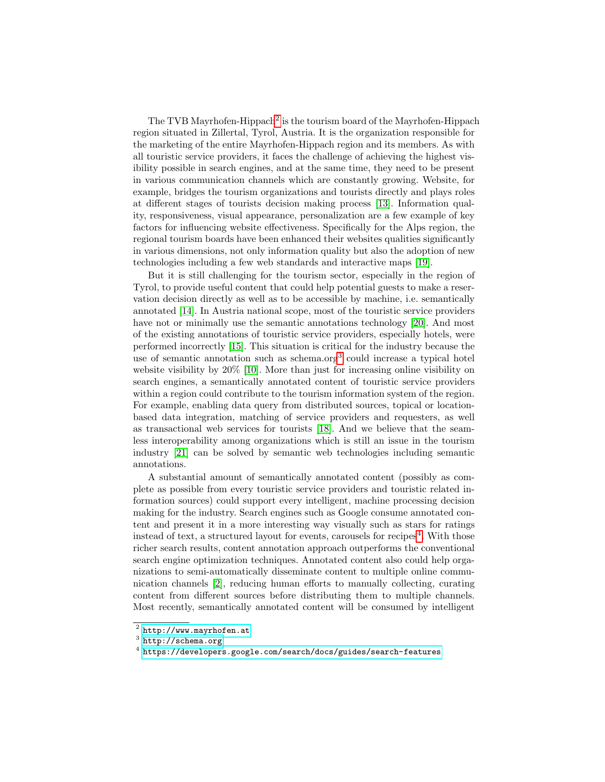The TVB Mayrhofen-Hippach<sup>[2](#page-1-0)</sup> is the tourism board of the Mayrhofen-Hippach region situated in Zillertal, Tyrol, Austria. It is the organization responsible for the marketing of the entire Mayrhofen-Hippach region and its members. As with all touristic service providers, it faces the challenge of achieving the highest visibility possible in search engines, and at the same time, they need to be present in various communication channels which are constantly growing. Website, for example, bridges the tourism organizations and tourists directly and plays roles at different stages of tourists decision making process [\[13\]](#page-17-0). Information quality, responsiveness, visual appearance, personalization are a few example of key factors for influencing website effectiveness. Specifically for the Alps region, the regional tourism boards have been enhanced their websites qualities significantly in various dimensions, not only information quality but also the adoption of new technologies including a few web standards and interactive maps [\[19\]](#page-17-1).

But it is still challenging for the tourism sector, especially in the region of Tyrol, to provide useful content that could help potential guests to make a reservation decision directly as well as to be accessible by machine, i.e. semantically annotated [\[14\]](#page-17-2). In Austria national scope, most of the touristic service providers have not or minimally use the semantic annotations technology [\[20\]](#page-17-3). And most of the existing annotations of touristic service providers, especially hotels, were performed incorrectly [\[15\]](#page-17-4). This situation is critical for the industry because the use of semantic annotation such as schema.org<sup>[3](#page-1-1)</sup> could increase a typical hotel website visibility by 20% [\[10\]](#page-17-5). More than just for increasing online visibility on search engines, a semantically annotated content of touristic service providers within a region could contribute to the tourism information system of the region. For example, enabling data query from distributed sources, topical or locationbased data integration, matching of service providers and requesters, as well as transactional web services for tourists [\[18\]](#page-17-6). And we believe that the seamless interoperability among organizations which is still an issue in the tourism industry [\[21\]](#page-17-7) can be solved by semantic web technologies including semantic annotations.

A substantial amount of semantically annotated content (possibly as complete as possible from every touristic service providers and touristic related information sources) could support every intelligent, machine processing decision making for the industry. Search engines such as Google consume annotated content and present it in a more interesting way visually such as stars for ratings instead of text, a structured layout for events, carousels for recipes<sup>[4](#page-1-2)</sup>. With those richer search results, content annotation approach outperforms the conventional search engine optimization techniques. Annotated content also could help organizations to semi-automatically disseminate content to multiple online communication channels [\[2\]](#page-16-0), reducing human efforts to manually collecting, curating content from different sources before distributing them to multiple channels. Most recently, semantically annotated content will be consumed by intelligent

<span id="page-1-0"></span> $^2$  <http://www.mayrhofen.at>

<span id="page-1-1"></span> $^3$  <http://schema.org>

<span id="page-1-2"></span> $^4$  <code><https://developers.google.com/search/docs/guides/search-features></code>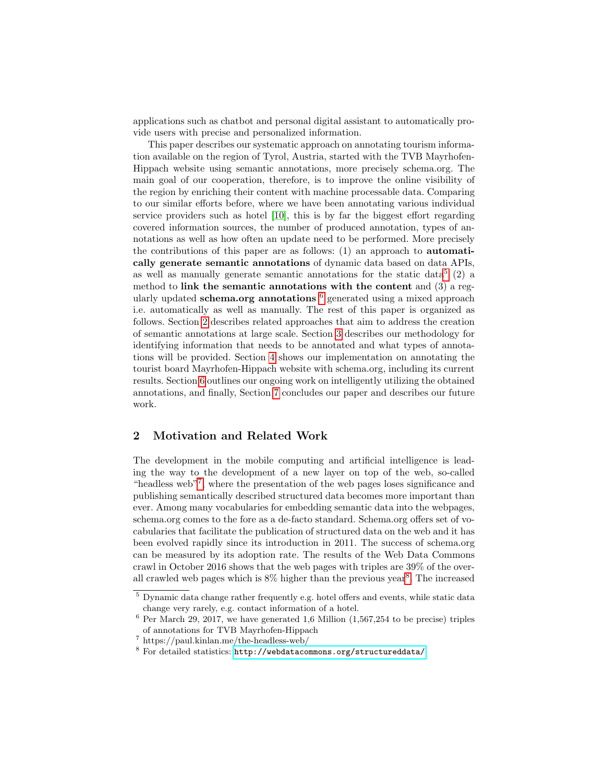applications such as chatbot and personal digital assistant to automatically provide users with precise and personalized information.

This paper describes our systematic approach on annotating tourism information available on the region of Tyrol, Austria, started with the TVB Mayrhofen-Hippach website using semantic annotations, more precisely schema.org. The main goal of our cooperation, therefore, is to improve the online visibility of the region by enriching their content with machine processable data. Comparing to our similar efforts before, where we have been annotating various individual service providers such as hotel [\[10\]](#page-17-5), this is by far the biggest effort regarding covered information sources, the number of produced annotation, types of annotations as well as how often an update need to be performed. More precisely the contributions of this paper are as follows: (1) an approach to automatically generate semantic annotations of dynamic data based on data APIs, as well as manually generate semantic annotations for the static data<sup>[5](#page-2-0)</sup>  $(2)$  a method to link the semantic annotations with the content and (3) a regularly updated schema.org annotations  $6$  generated using a mixed approach i.e. automatically as well as manually. The rest of this paper is organized as follows. Section [2](#page-2-2) describes related approaches that aim to address the creation of semantic annotations at large scale. Section [3](#page-4-0) describes our methodology for identifying information that needs to be annotated and what types of annotations will be provided. Section [4](#page-7-0) shows our implementation on annotating the tourist board Mayrhofen-Hippach website with schema.org, including its current results. Section [6](#page-13-0) outlines our ongoing work on intelligently utilizing the obtained annotations, and finally, Section [7](#page-15-0) concludes our paper and describes our future work.

# <span id="page-2-2"></span>2 Motivation and Related Work

The development in the mobile computing and artificial intelligence is leading the way to the development of a new layer on top of the web, so-called "headless web"<sup>[7](#page-2-3)</sup>, where the presentation of the web pages loses significance and publishing semantically described structured data becomes more important than ever. Among many vocabularies for embedding semantic data into the webpages, schema.org comes to the fore as a de-facto standard. Schema.org offers set of vocabularies that facilitate the publication of structured data on the web and it has been evolved rapidly since its introduction in 2011. The success of schema.org can be measured by its adoption rate. The results of the Web Data Commons crawl in October 2016 shows that the web pages with triples are 39% of the overall crawled web pages which is  $8\%$  $8\%$  higher than the previous year<sup>8</sup>. The increased

<span id="page-2-0"></span><sup>5</sup> Dynamic data change rather frequently e.g. hotel offers and events, while static data change very rarely, e.g. contact information of a hotel.

<span id="page-2-1"></span> $6$  Per March 29, 2017, we have generated 1,6 Million (1,567,254 to be precise) triples of annotations for TVB Mayrhofen-Hippach

<span id="page-2-3"></span><sup>7</sup> https://paul.kinlan.me/the-headless-web/

<span id="page-2-4"></span><sup>8</sup> For detailed statistics: <http://webdatacommons.org/structureddata/>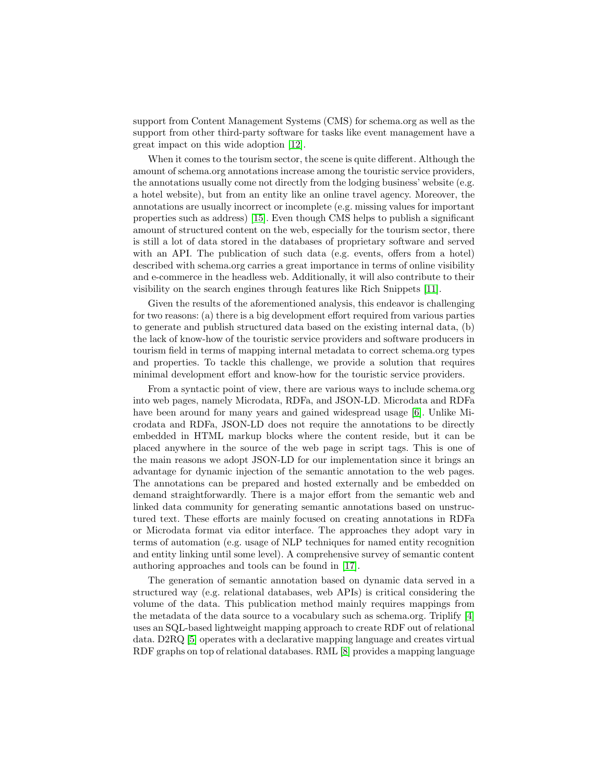support from Content Management Systems (CMS) for schema.org as well as the support from other third-party software for tasks like event management have a great impact on this wide adoption [\[12\]](#page-17-8).

When it comes to the tourism sector, the scene is quite different. Although the amount of schema.org annotations increase among the touristic service providers, the annotations usually come not directly from the lodging business' website (e.g. a hotel website), but from an entity like an online travel agency. Moreover, the annotations are usually incorrect or incomplete (e.g. missing values for important properties such as address) [\[15\]](#page-17-4). Even though CMS helps to publish a significant amount of structured content on the web, especially for the tourism sector, there is still a lot of data stored in the databases of proprietary software and served with an API. The publication of such data (e.g. events, offers from a hotel) described with schema.org carries a great importance in terms of online visibility and e-commerce in the headless web. Additionally, it will also contribute to their visibility on the search engines through features like Rich Snippets [\[11\]](#page-17-9).

Given the results of the aforementioned analysis, this endeavor is challenging for two reasons: (a) there is a big development effort required from various parties to generate and publish structured data based on the existing internal data, (b) the lack of know-how of the touristic service providers and software producers in tourism field in terms of mapping internal metadata to correct schema.org types and properties. To tackle this challenge, we provide a solution that requires minimal development effort and know-how for the touristic service providers.

From a syntactic point of view, there are various ways to include schema.org into web pages, namely Microdata, RDFa, and JSON-LD. Microdata and RDFa have been around for many years and gained widespread usage [\[6\]](#page-17-10). Unlike Microdata and RDFa, JSON-LD does not require the annotations to be directly embedded in HTML markup blocks where the content reside, but it can be placed anywhere in the source of the web page in script tags. This is one of the main reasons we adopt JSON-LD for our implementation since it brings an advantage for dynamic injection of the semantic annotation to the web pages. The annotations can be prepared and hosted externally and be embedded on demand straightforwardly. There is a major effort from the semantic web and linked data community for generating semantic annotations based on unstructured text. These efforts are mainly focused on creating annotations in RDFa or Microdata format via editor interface. The approaches they adopt vary in terms of automation (e.g. usage of NLP techniques for named entity recognition and entity linking until some level). A comprehensive survey of semantic content authoring approaches and tools can be found in [\[17\]](#page-17-11).

The generation of semantic annotation based on dynamic data served in a structured way (e.g. relational databases, web APIs) is critical considering the volume of the data. This publication method mainly requires mappings from the metadata of the data source to a vocabulary such as schema.org. Triplify [\[4\]](#page-16-1) uses an SQL-based lightweight mapping approach to create RDF out of relational data. D2RQ [\[5\]](#page-17-12) operates with a declarative mapping language and creates virtual RDF graphs on top of relational databases. RML [\[8\]](#page-17-13) provides a mapping language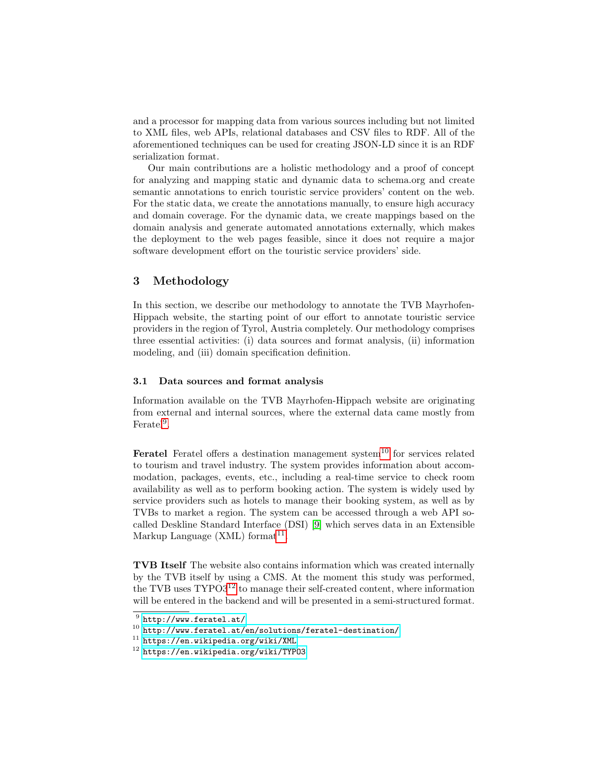and a processor for mapping data from various sources including but not limited to XML files, web APIs, relational databases and CSV files to RDF. All of the aforementioned techniques can be used for creating JSON-LD since it is an RDF serialization format.

Our main contributions are a holistic methodology and a proof of concept for analyzing and mapping static and dynamic data to schema.org and create semantic annotations to enrich touristic service providers' content on the web. For the static data, we create the annotations manually, to ensure high accuracy and domain coverage. For the dynamic data, we create mappings based on the domain analysis and generate automated annotations externally, which makes the deployment to the web pages feasible, since it does not require a major software development effort on the touristic service providers' side.

# <span id="page-4-0"></span>3 Methodology

In this section, we describe our methodology to annotate the TVB Mayrhofen-Hippach website, the starting point of our effort to annotate touristic service providers in the region of Tyrol, Austria completely. Our methodology comprises three essential activities: (i) data sources and format analysis, (ii) information modeling, and (iii) domain specification definition.

## 3.1 Data sources and format analysis

Information available on the TVB Mayrhofen-Hippach website are originating from external and internal sources, where the external data came mostly from Feratel<sup>[9](#page-4-1)</sup>.

Feratel Feratel offers a destination management system<sup>[10](#page-4-2)</sup> for services related to tourism and travel industry. The system provides information about accommodation, packages, events, etc., including a real-time service to check room availability as well as to perform booking action. The system is widely used by service providers such as hotels to manage their booking system, as well as by TVBs to market a region. The system can be accessed through a web API socalled Deskline Standard Interface (DSI) [\[9\]](#page-17-14) which serves data in an Extensible Markup Language  $(XML)$  format<sup>[11](#page-4-3)</sup>.

TVB Itself The website also contains information which was created internally by the TVB itself by using a CMS. At the moment this study was performed, the TVB uses TYPO3[12](#page-4-4) to manage their self-created content, where information will be entered in the backend and will be presented in a semi-structured format.

<span id="page-4-1"></span> $^9$  <http://www.feratel.at/>

<span id="page-4-2"></span> $^{10}$  <http://www.feratel.at/en/solutions/feratel-destination/>

<span id="page-4-3"></span> $11$  <https://en.wikipedia.org/wiki/XML>

<span id="page-4-4"></span><sup>12</sup> <https://en.wikipedia.org/wiki/TYPO3>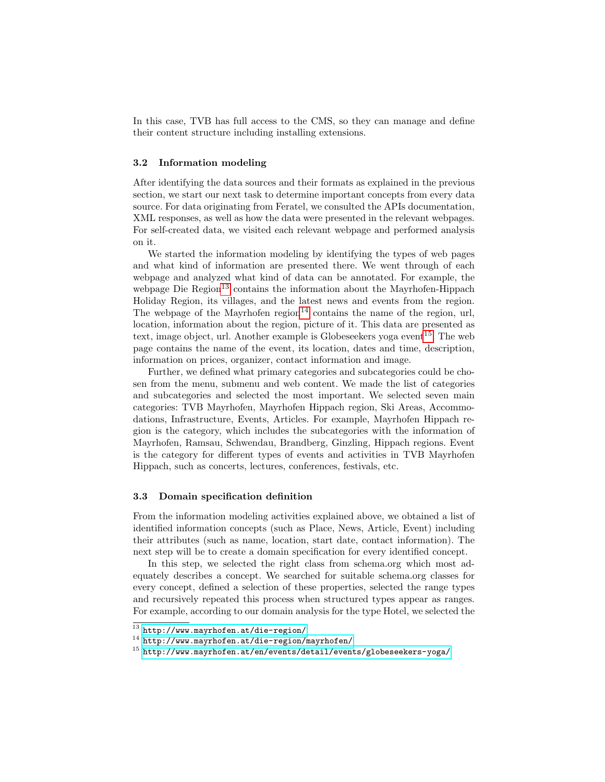In this case, TVB has full access to the CMS, so they can manage and define their content structure including installing extensions.

## 3.2 Information modeling

After identifying the data sources and their formats as explained in the previous section, we start our next task to determine important concepts from every data source. For data originating from Feratel, we consulted the APIs documentation, XML responses, as well as how the data were presented in the relevant webpages. For self-created data, we visited each relevant webpage and performed analysis on it.

We started the information modeling by identifying the types of web pages and what kind of information are presented there. We went through of each webpage and analyzed what kind of data can be annotated. For example, the webpage Die Region<sup>[13](#page-5-0)</sup> contains the information about the Mayrhofen-Hippach Holiday Region, its villages, and the latest news and events from the region. The webpage of the Mayrhofen region<sup>[14](#page-5-1)</sup> contains the name of the region, url, location, information about the region, picture of it. This data are presented as text, image object, url. Another example is Globeseekers yoga event<sup>[15](#page-5-2)</sup>. The web page contains the name of the event, its location, dates and time, description, information on prices, organizer, contact information and image.

Further, we defined what primary categories and subcategories could be chosen from the menu, submenu and web content. We made the list of categories and subcategories and selected the most important. We selected seven main categories: TVB Mayrhofen, Mayrhofen Hippach region, Ski Areas, Accommodations, Infrastructure, Events, Articles. For example, Mayrhofen Hippach region is the category, which includes the subcategories with the information of Mayrhofen, Ramsau, Schwendau, Brandberg, Ginzling, Hippach regions. Event is the category for different types of events and activities in TVB Mayrhofen Hippach, such as concerts, lectures, conferences, festivals, etc.

## 3.3 Domain specification definition

From the information modeling activities explained above, we obtained a list of identified information concepts (such as Place, News, Article, Event) including their attributes (such as name, location, start date, contact information). The next step will be to create a domain specification for every identified concept.

In this step, we selected the right class from schema.org which most adequately describes a concept. We searched for suitable schema.org classes for every concept, defined a selection of these properties, selected the range types and recursively repeated this process when structured types appear as ranges. For example, according to our domain analysis for the type Hotel, we selected the

<span id="page-5-0"></span> $13$  <http://www.mayrhofen.at/die-region/>

<span id="page-5-1"></span><sup>14</sup> <http://www.mayrhofen.at/die-region/mayrhofen/>

<span id="page-5-2"></span> $^{15}$ <http://www.mayrhofen.at/en/events/detail/events/globeseekers-yoga/>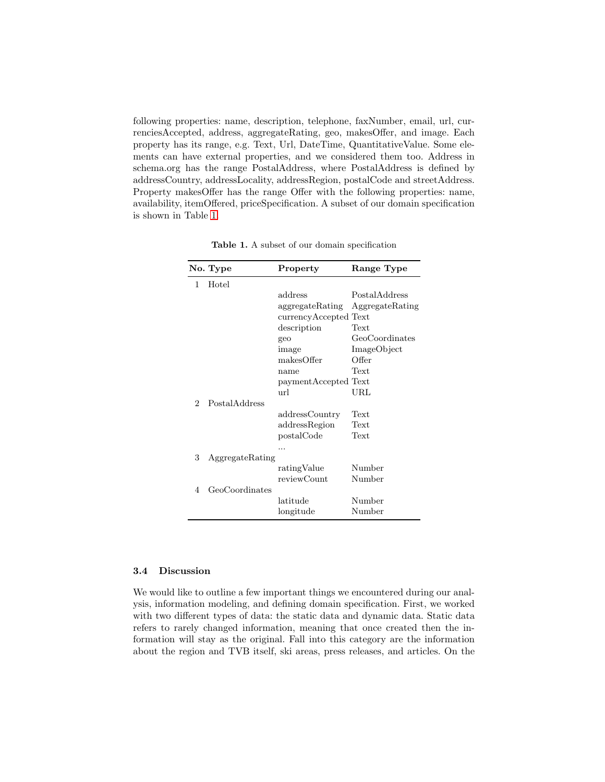following properties: name, description, telephone, faxNumber, email, url, currenciesAccepted, address, aggregateRating, geo, makesOffer, and image. Each property has its range, e.g. Text, Url, DateTime, QuantitativeValue. Some elements can have external properties, and we considered them too. Address in schema.org has the range PostalAddress, where PostalAddress is defined by addressCountry, addressLocality, addressRegion, postalCode and streetAddress. Property makesOffer has the range Offer with the following properties: name, availability, itemOffered, priceSpecification. A subset of our domain specification is shown in Table [1.](#page-6-0)

|   | No. Type        | Property              | Range Type      |
|---|-----------------|-----------------------|-----------------|
| 1 | Hotel           |                       |                 |
|   |                 | address               | PostalAddress   |
|   |                 | aggregateRating       | AggregateRating |
|   |                 | currencyAccepted Text |                 |
|   |                 | description           | Text            |
|   |                 | geo                   | GeoCoordinates  |
|   |                 | image                 | ImageObject     |
|   |                 | makesOffer            | Offer           |
|   |                 | name                  | Text            |
|   |                 | paymentAccepted Text  |                 |
|   |                 | url                   | URL             |
| 2 | PostalAddress   |                       |                 |
|   |                 | addressCountry        | Text            |
|   |                 | addressRegion         | Text            |
|   |                 | postalCode            | Text            |
|   |                 |                       |                 |
| 3 | AggregateRating |                       |                 |
|   |                 | ratingValue           | Number          |
|   |                 | reviewCount           | Number          |
| 4 | GeoCoordinates  |                       |                 |
|   |                 | latitude              | Number          |
|   |                 | longitude             | Number          |

<span id="page-6-0"></span>Table 1. A subset of our domain specification

#### 3.4 Discussion

We would like to outline a few important things we encountered during our analysis, information modeling, and defining domain specification. First, we worked with two different types of data: the static data and dynamic data. Static data refers to rarely changed information, meaning that once created then the information will stay as the original. Fall into this category are the information about the region and TVB itself, ski areas, press releases, and articles. On the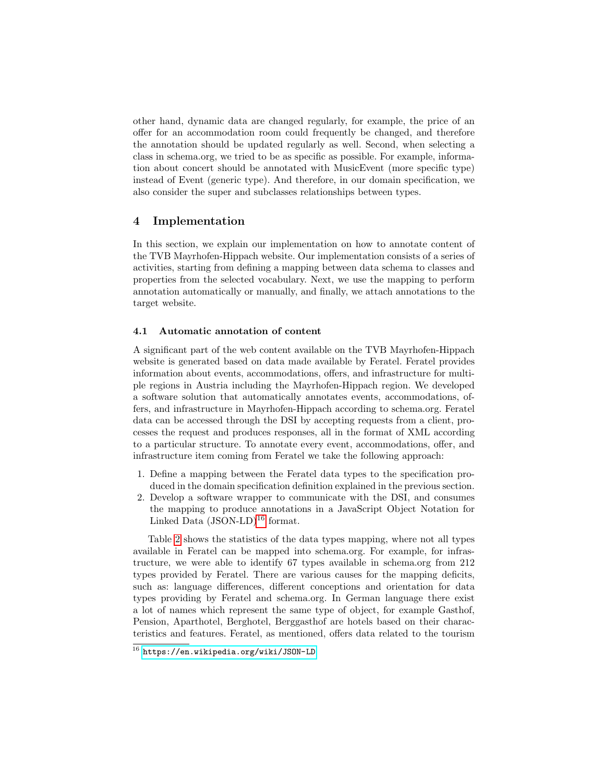other hand, dynamic data are changed regularly, for example, the price of an offer for an accommodation room could frequently be changed, and therefore the annotation should be updated regularly as well. Second, when selecting a class in schema.org, we tried to be as specific as possible. For example, information about concert should be annotated with MusicEvent (more specific type) instead of Event (generic type). And therefore, in our domain specification, we also consider the super and subclasses relationships between types.

# <span id="page-7-0"></span>4 Implementation

In this section, we explain our implementation on how to annotate content of the TVB Mayrhofen-Hippach website. Our implementation consists of a series of activities, starting from defining a mapping between data schema to classes and properties from the selected vocabulary. Next, we use the mapping to perform annotation automatically or manually, and finally, we attach annotations to the target website.

## <span id="page-7-2"></span>4.1 Automatic annotation of content

A significant part of the web content available on the TVB Mayrhofen-Hippach website is generated based on data made available by Feratel. Feratel provides information about events, accommodations, offers, and infrastructure for multiple regions in Austria including the Mayrhofen-Hippach region. We developed a software solution that automatically annotates events, accommodations, offers, and infrastructure in Mayrhofen-Hippach according to schema.org. Feratel data can be accessed through the DSI by accepting requests from a client, processes the request and produces responses, all in the format of XML according to a particular structure. To annotate every event, accommodations, offer, and infrastructure item coming from Feratel we take the following approach:

- 1. Define a mapping between the Feratel data types to the specification produced in the domain specification definition explained in the previous section.
- 2. Develop a software wrapper to communicate with the DSI, and consumes the mapping to produce annotations in a JavaScript Object Notation for Linked Data  $\text{(JSON-LD)}^{16}$  $\text{(JSON-LD)}^{16}$  $\text{(JSON-LD)}^{16}$  format.

Table [2](#page-8-0) shows the statistics of the data types mapping, where not all types available in Feratel can be mapped into schema.org. For example, for infrastructure, we were able to identify 67 types available in schema.org from 212 types provided by Feratel. There are various causes for the mapping deficits, such as: language differences, different conceptions and orientation for data types providing by Feratel and schema.org. In German language there exist a lot of names which represent the same type of object, for example Gasthof, Pension, Aparthotel, Berghotel, Berggasthof are hotels based on their characteristics and features. Feratel, as mentioned, offers data related to the tourism

<span id="page-7-1"></span> $^{16}$  <https://en.wikipedia.org/wiki/JSON-LD>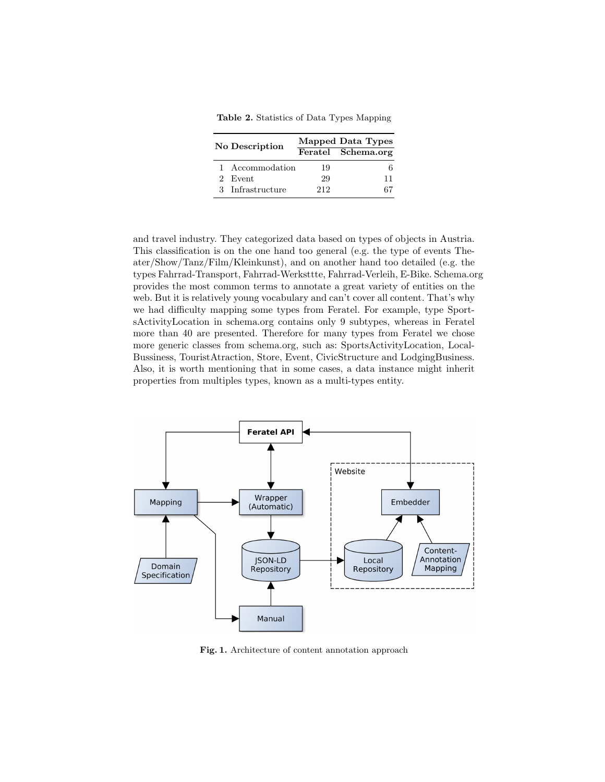<span id="page-8-0"></span>Table 2. Statistics of Data Types Mapping

|  | No Description   | Mapped Data Types |                    |  |  |
|--|------------------|-------------------|--------------------|--|--|
|  |                  |                   | Feratel Schema.org |  |  |
|  | 1 Accommodation  | 19                |                    |  |  |
|  | 2 Event          | 29                |                    |  |  |
|  | 3 Infrastructure | 212               | -67                |  |  |

and travel industry. They categorized data based on types of objects in Austria. This classification is on the one hand too general (e.g. the type of events Theater/Show/Tanz/Film/Kleinkunst), and on another hand too detailed (e.g. the types Fahrrad-Transport, Fahrrad-Werksttte, Fahrrad-Verleih, E-Bike. Schema.org provides the most common terms to annotate a great variety of entities on the web. But it is relatively young vocabulary and can't cover all content. That's why we had difficulty mapping some types from Feratel. For example, type SportsActivityLocation in schema.org contains only 9 subtypes, whereas in Feratel more than 40 are presented. Therefore for many types from Feratel we chose more generic classes from schema.org, such as: SportsActivityLocation, Local-Bussiness, TouristAtraction, Store, Event, CivicStructure and LodgingBusiness. Also, it is worth mentioning that in some cases, a data instance might inherit properties from multiples types, known as a multi-types entity.



<span id="page-8-1"></span>Fig. 1. Architecture of content annotation approach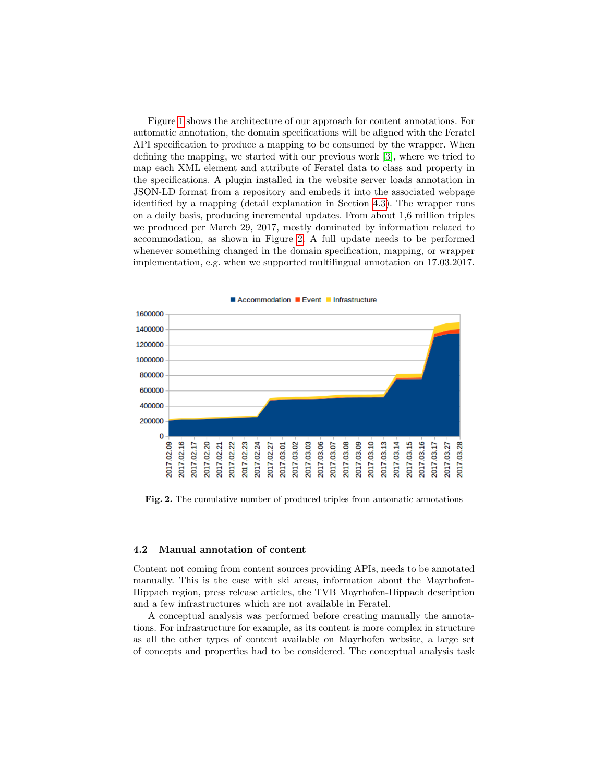Figure [1](#page-8-1) shows the architecture of our approach for content annotations. For automatic annotation, the domain specifications will be aligned with the Feratel API specification to produce a mapping to be consumed by the wrapper. When defining the mapping, we started with our previous work [\[3\]](#page-16-2), where we tried to map each XML element and attribute of Feratel data to class and property in the specifications. A plugin installed in the website server loads annotation in JSON-LD format from a repository and embeds it into the associated webpage identified by a mapping (detail explanation in Section [4.3\)](#page-10-0). The wrapper runs on a daily basis, producing incremental updates. From about 1,6 million triples we produced per March 29, 2017, mostly dominated by information related to accommodation, as shown in Figure [2.](#page-9-0) A full update needs to be performed whenever something changed in the domain specification, mapping, or wrapper implementation, e.g. when we supported multilingual annotation on 17.03.2017.



Accommodation Event Infrastructure

<span id="page-9-0"></span>Fig. 2. The cumulative number of produced triples from automatic annotations

#### <span id="page-9-1"></span>4.2 Manual annotation of content

Content not coming from content sources providing APIs, needs to be annotated manually. This is the case with ski areas, information about the Mayrhofen-Hippach region, press release articles, the TVB Mayrhofen-Hippach description and a few infrastructures which are not available in Feratel.

A conceptual analysis was performed before creating manually the annotations. For infrastructure for example, as its content is more complex in structure as all the other types of content available on Mayrhofen website, a large set of concepts and properties had to be considered. The conceptual analysis task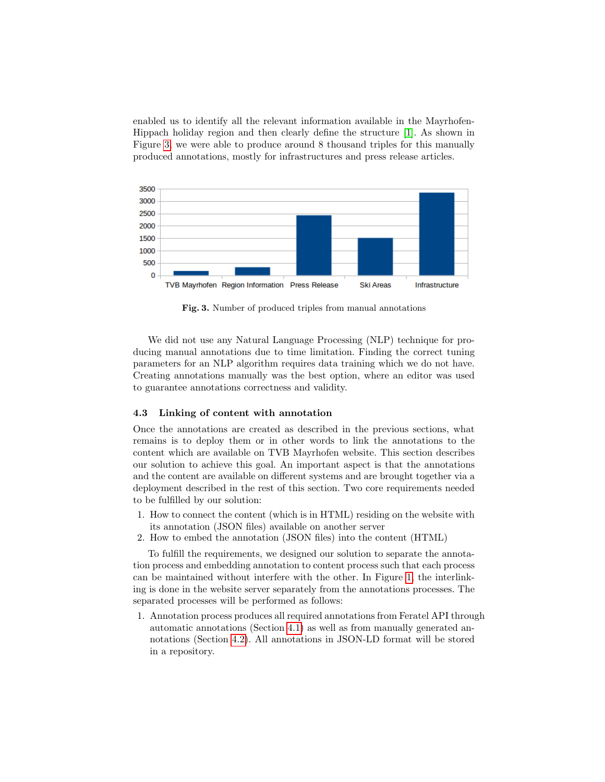enabled us to identify all the relevant information available in the Mayrhofen-Hippach holiday region and then clearly define the structure [\[1\]](#page-16-3). As shown in Figure [3,](#page-10-1) we were able to produce around 8 thousand triples for this manually produced annotations, mostly for infrastructures and press release articles.



<span id="page-10-1"></span>Fig. 3. Number of produced triples from manual annotations

We did not use any Natural Language Processing (NLP) technique for producing manual annotations due to time limitation. Finding the correct tuning parameters for an NLP algorithm requires data training which we do not have. Creating annotations manually was the best option, where an editor was used to guarantee annotations correctness and validity.

## <span id="page-10-0"></span>4.3 Linking of content with annotation

Once the annotations are created as described in the previous sections, what remains is to deploy them or in other words to link the annotations to the content which are available on TVB Mayrhofen website. This section describes our solution to achieve this goal. An important aspect is that the annotations and the content are available on different systems and are brought together via a deployment described in the rest of this section. Two core requirements needed to be fulfilled by our solution:

- 1. How to connect the content (which is in HTML) residing on the website with its annotation (JSON files) available on another server
- 2. How to embed the annotation (JSON files) into the content (HTML)

To fulfill the requirements, we designed our solution to separate the annotation process and embedding annotation to content process such that each process can be maintained without interfere with the other. In Figure [1,](#page-8-1) the interlinking is done in the website server separately from the annotations processes. The separated processes will be performed as follows:

1. Annotation process produces all required annotations from Feratel API through automatic annotations (Section [4.1\)](#page-7-2) as well as from manually generated annotations (Section [4.2\)](#page-9-1). All annotations in JSON-LD format will be stored in a repository.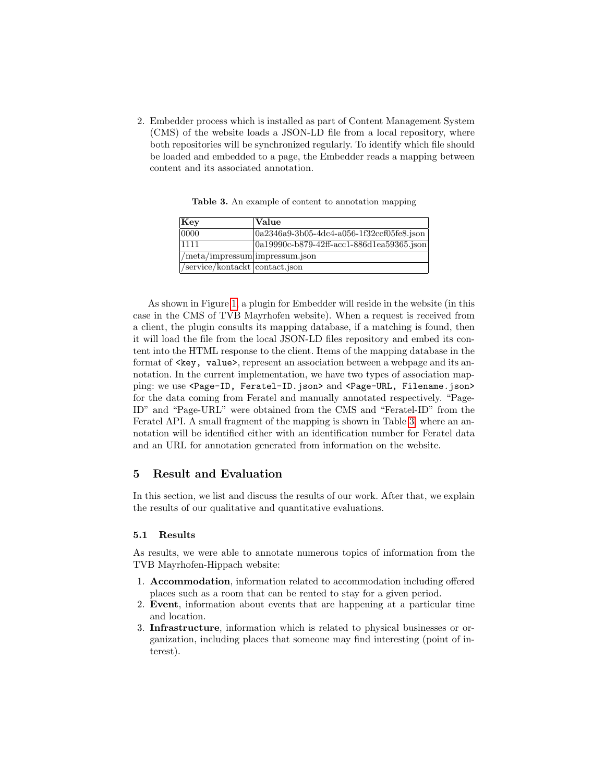2. Embedder process which is installed as part of Content Management System (CMS) of the website loads a JSON-LD file from a local repository, where both repositories will be synchronized regularly. To identify which file should be loaded and embedded to a page, the Embedder reads a mapping between content and its associated annotation.

| Key                                               | Value                                         |
|---------------------------------------------------|-----------------------------------------------|
| 0000                                              | 0a2346a9-3b05-4dc4-a056-1f32ccf05fe8.json     |
| 1111                                              | $[0a19990c-b879-42ff-acc1-886d1ea59365.$ json |
| $\frac{1}{\text{meta}}$ /impressum impressum.json |                                               |
| /service/kontackt contact.json                    |                                               |

<span id="page-11-0"></span>Table 3. An example of content to annotation mapping

As shown in Figure [1,](#page-8-1) a plugin for Embedder will reside in the website (in this case in the CMS of TVB Mayrhofen website). When a request is received from a client, the plugin consults its mapping database, if a matching is found, then it will load the file from the local JSON-LD files repository and embed its content into the HTML response to the client. Items of the mapping database in the format of <key, value>, represent an association between a webpage and its annotation. In the current implementation, we have two types of association mapping: we use <Page-ID, Feratel-ID.json> and <Page-URL, Filename.json> for the data coming from Feratel and manually annotated respectively. "Page-ID" and "Page-URL" were obtained from the CMS and "Feratel-ID" from the Feratel API. A small fragment of the mapping is shown in Table [3,](#page-11-0) where an annotation will be identified either with an identification number for Feratel data and an URL for annotation generated from information on the website.

## 5 Result and Evaluation

In this section, we list and discuss the results of our work. After that, we explain the results of our qualitative and quantitative evaluations.

#### 5.1 Results

As results, we were able to annotate numerous topics of information from the TVB Mayrhofen-Hippach website:

- 1. Accommodation, information related to accommodation including offered places such as a room that can be rented to stay for a given period.
- 2. Event, information about events that are happening at a particular time and location.
- 3. Infrastructure, information which is related to physical businesses or organization, including places that someone may find interesting (point of interest).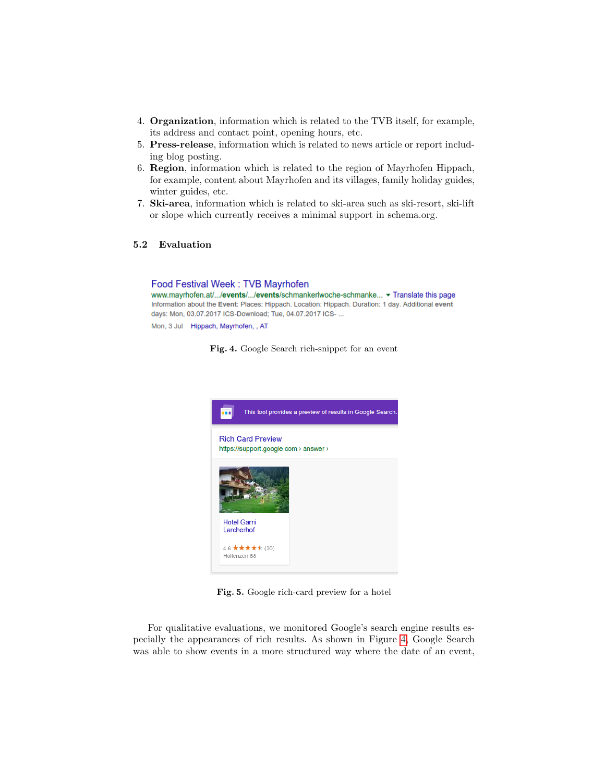- 4. Organization, information which is related to the TVB itself, for example, its address and contact point, opening hours, etc.
- 5. Press-release, information which is related to news article or report including blog posting.
- 6. Region, information which is related to the region of Mayrhofen Hippach, for example, content about Mayrhofen and its villages, family holiday guides, winter guides, etc.
- 7. Ski-area, information which is related to ski-area such as ski-resort, ski-lift or slope which currently receives a minimal support in schema.org.
- 5.2 Evaluation

Food Festival Week: TVB Mayrhofen www.mayrhofen.at/.../events/.../events/schmankerlwoche-schmanke... • Translate this page Information about the Event: Places: Hippach. Location: Hippach. Duration: 1 day. Additional event days: Mon, 03.07.2017 ICS-Download; Tue, 04.07.2017 ICS-... Mon, 3 Jul Hippach, Mayrhofen, , AT

<span id="page-12-0"></span>



Fig. 5. Google rich-card preview for a hotel

<span id="page-12-1"></span>For qualitative evaluations, we monitored Google's search engine results especially the appearances of rich results. As shown in Figure [4,](#page-12-0) Google Search was able to show events in a more structured way where the date of an event,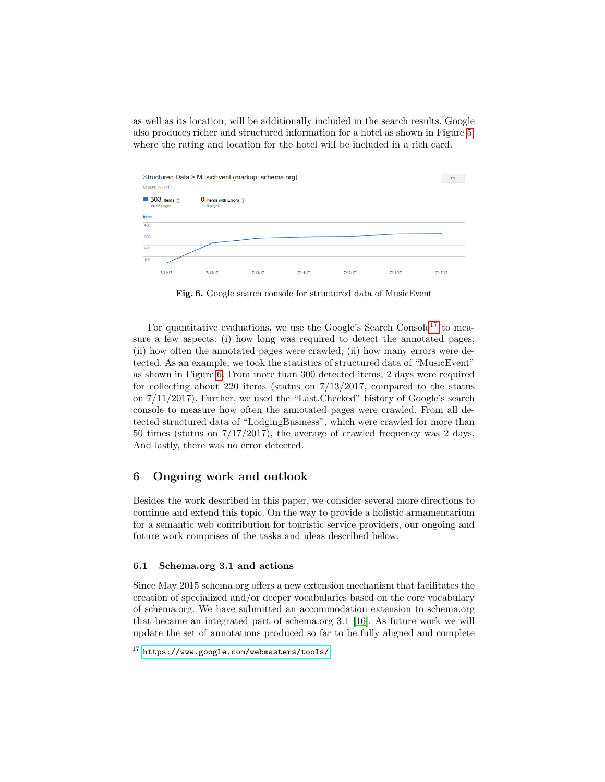as well as its location, will be additionally included in the search results. Google also produces richer and structured information for a hotel as shown in Figure [5,](#page-12-1) where the rating and location for the hotel will be included in a rich card.

| Structured Data > MusicEvent (markup: schema.org)<br>Status: 7/17/17 |                                               |         |         |         |         |         |  |
|----------------------------------------------------------------------|-----------------------------------------------|---------|---------|---------|---------|---------|--|
| $\blacksquare$ 303 Items $\oslash$<br>on 65 pages                    | $0$ Items with Errors $\oslash$<br>on 0 pages |         |         |         |         |         |  |
| Items                                                                |                                               |         |         |         |         |         |  |
| 400                                                                  |                                               |         |         |         |         |         |  |
| 300                                                                  |                                               |         |         |         |         |         |  |
| 200                                                                  |                                               |         |         |         |         |         |  |
| 100                                                                  |                                               |         |         |         |         |         |  |
| 7/11/17                                                              | 7/12/17                                       | 7/13/17 | 7/14/17 | 7/15/17 | 7/16/17 | 7/17/17 |  |

<span id="page-13-2"></span>Fig. 6. Google search console for structured data of MusicEvent

For quantitative evaluations, we use the Google's Search Console<sup>[17](#page-13-1)</sup> to measure a few aspects: (i) how long was required to detect the annotated pages, (ii) how often the annotated pages were crawled, (ii) how many errors were detected. As an example, we took the statistics of structured data of "MusicEvent" as shown in Figure [6.](#page-13-2) From more than 300 detected items, 2 days were required for collecting about 220 items (status on 7/13/2017, compared to the status on 7/11/2017). Further, we used the "Last.Checked" history of Google's search console to measure how often the annotated pages were crawled. From all detected structured data of "LodgingBusiness", which were crawled for more than 50 times (status on 7/17/2017), the average of crawled frequency was 2 days. And lastly, there was no error detected.

## <span id="page-13-0"></span>6 Ongoing work and outlook

Besides the work described in this paper, we consider several more directions to continue and extend this topic. On the way to provide a holistic armamentarium for a semantic web contribution for touristic service providers, our ongoing and future work comprises of the tasks and ideas described below.

## 6.1 Schema.org 3.1 and actions

Since May 2015 schema.org offers a new extension mechanism that facilitates the creation of specialized and/or deeper vocabularies based on the core vocabulary of schema.org. We have submitted an accommodation extension to schema.org that became an integrated part of schema.org 3.1 [\[16\]](#page-17-15). As future work we will update the set of annotations produced so far to be fully aligned and complete

<span id="page-13-1"></span> $\frac{17}{17}$  <https://www.google.com/webmasters/tools/>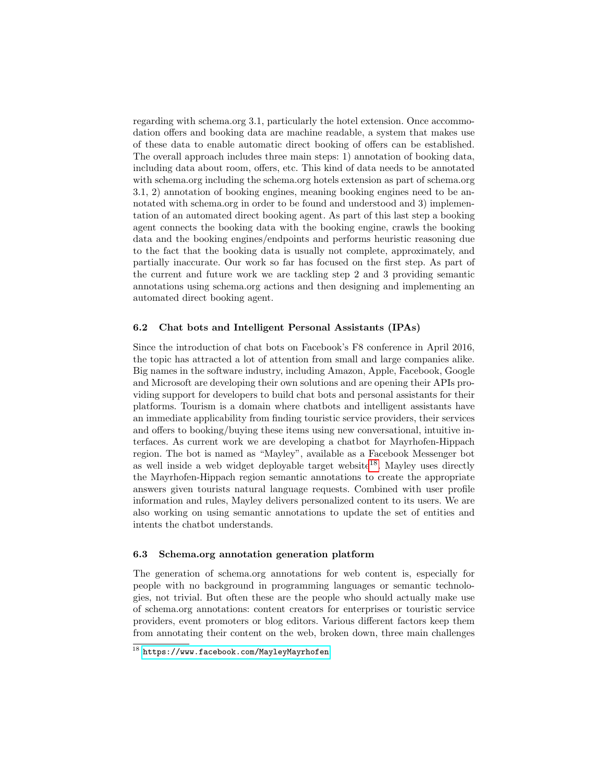regarding with schema.org 3.1, particularly the hotel extension. Once accommodation offers and booking data are machine readable, a system that makes use of these data to enable automatic direct booking of offers can be established. The overall approach includes three main steps: 1) annotation of booking data, including data about room, offers, etc. This kind of data needs to be annotated with schema.org including the schema.org hotels extension as part of schema.org 3.1, 2) annotation of booking engines, meaning booking engines need to be annotated with schema.org in order to be found and understood and 3) implementation of an automated direct booking agent. As part of this last step a booking agent connects the booking data with the booking engine, crawls the booking data and the booking engines/endpoints and performs heuristic reasoning due to the fact that the booking data is usually not complete, approximately, and partially inaccurate. Our work so far has focused on the first step. As part of the current and future work we are tackling step 2 and 3 providing semantic annotations using schema.org actions and then designing and implementing an automated direct booking agent.

## 6.2 Chat bots and Intelligent Personal Assistants (IPAs)

Since the introduction of chat bots on Facebook's F8 conference in April 2016, the topic has attracted a lot of attention from small and large companies alike. Big names in the software industry, including Amazon, Apple, Facebook, Google and Microsoft are developing their own solutions and are opening their APIs providing support for developers to build chat bots and personal assistants for their platforms. Tourism is a domain where chatbots and intelligent assistants have an immediate applicability from finding touristic service providers, their services and offers to booking/buying these items using new conversational, intuitive interfaces. As current work we are developing a chatbot for Mayrhofen-Hippach region. The bot is named as "Mayley", available as a Facebook Messenger bot as well inside a web widget deployable target website<sup>[18](#page-14-0)</sup>. Mayley uses directly the Mayrhofen-Hippach region semantic annotations to create the appropriate answers given tourists natural language requests. Combined with user profile information and rules, Mayley delivers personalized content to its users. We are also working on using semantic annotations to update the set of entities and intents the chatbot understands.

## <span id="page-14-1"></span>6.3 Schema.org annotation generation platform

The generation of schema.org annotations for web content is, especially for people with no background in programming languages or semantic technologies, not trivial. But often these are the people who should actually make use of schema.org annotations: content creators for enterprises or touristic service providers, event promoters or blog editors. Various different factors keep them from annotating their content on the web, broken down, three main challenges

<span id="page-14-0"></span> $18$  <https://www.facebook.com/MayleyMayrhofen>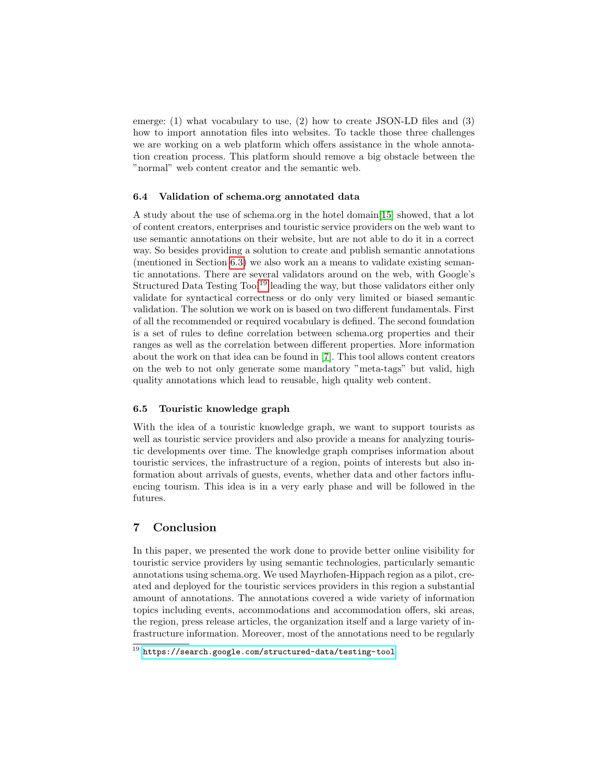emerge: (1) what vocabulary to use, (2) how to create JSON-LD files and (3) how to import annotation files into websites. To tackle those three challenges we are working on a web platform which offers assistance in the whole annotation creation process. This platform should remove a big obstacle between the "normal" web content creator and the semantic web.

## 6.4 Validation of schema.org annotated data

A study about the use of schema.org in the hotel domain[\[15\]](#page-17-4) showed, that a lot of content creators, enterprises and touristic service providers on the web want to use semantic annotations on their website, but are not able to do it in a correct way. So besides providing a solution to create and publish semantic annotations (mentioned in Section [6.3\)](#page-14-1) we also work an a means to validate existing semantic annotations. There are several validators around on the web, with Google's Structured Data Testing  $Tool<sup>19</sup>$  $Tool<sup>19</sup>$  $Tool<sup>19</sup>$  leading the way, but those validators either only validate for syntactical correctness or do only very limited or biased semantic validation. The solution we work on is based on two different fundamentals. First of all the recommended or required vocabulary is defined. The second foundation is a set of rules to define correlation between schema.org properties and their ranges as well as the correlation between different properties. More information about the work on that idea can be found in [\[7\]](#page-17-16). This tool allows content creators on the web to not only generate some mandatory "meta-tags" but valid, high quality annotations which lead to reusable, high quality web content.

#### 6.5 Touristic knowledge graph

With the idea of a touristic knowledge graph, we want to support tourists as well as touristic service providers and also provide a means for analyzing touristic developments over time. The knowledge graph comprises information about touristic services, the infrastructure of a region, points of interests but also information about arrivals of guests, events, whether data and other factors influencing tourism. This idea is in a very early phase and will be followed in the futures.

# <span id="page-15-0"></span>7 Conclusion

In this paper, we presented the work done to provide better online visibility for touristic service providers by using semantic technologies, particularly semantic annotations using schema.org. We used Mayrhofen-Hippach region as a pilot, created and deployed for the touristic services providers in this region a substantial amount of annotations. The annotations covered a wide variety of information topics including events, accommodations and accommodation offers, ski areas, the region, press release articles, the organization itself and a large variety of infrastructure information. Moreover, most of the annotations need to be regularly

<span id="page-15-1"></span> $19$  <https://search.google.com/structured-data/testing-tool>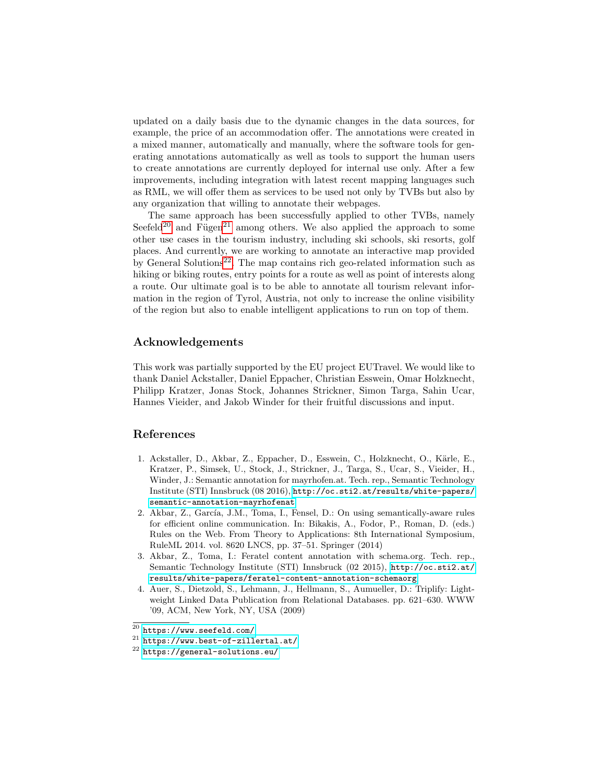updated on a daily basis due to the dynamic changes in the data sources, for example, the price of an accommodation offer. The annotations were created in a mixed manner, automatically and manually, where the software tools for generating annotations automatically as well as tools to support the human users to create annotations are currently deployed for internal use only. After a few improvements, including integration with latest recent mapping languages such as RML, we will offer them as services to be used not only by TVBs but also by any organization that willing to annotate their webpages.

The same approach has been successfully applied to other TVBs, namely Seefeld<sup>[20](#page-16-4)</sup> and Fügen<sup>[21](#page-16-5)</sup> among others. We also applied the approach to some other use cases in the tourism industry, including ski schools, ski resorts, golf places. And currently, we are working to annotate an interactive map provided by General Solutions<sup>[22](#page-16-6)</sup>. The map contains rich geo-related information such as hiking or biking routes, entry points for a route as well as point of interests along a route. Our ultimate goal is to be able to annotate all tourism relevant information in the region of Tyrol, Austria, not only to increase the online visibility of the region but also to enable intelligent applications to run on top of them.

# Acknowledgements

This work was partially supported by the EU project EUTravel. We would like to thank Daniel Ackstaller, Daniel Eppacher, Christian Esswein, Omar Holzknecht, Philipp Kratzer, Jonas Stock, Johannes Strickner, Simon Targa, Sahin Ucar, Hannes Vieider, and Jakob Winder for their fruitful discussions and input.

# References

- <span id="page-16-3"></span>1. Ackstaller, D., Akbar, Z., Eppacher, D., Esswein, C., Holzknecht, O., Kärle, E., Kratzer, P., Simsek, U., Stock, J., Strickner, J., Targa, S., Ucar, S., Vieider, H., Winder, J.: Semantic annotation for mayrhofen.at. Tech. rep., Semantic Technology Institute (STI) Innsbruck (08 2016), [http://oc.sti2.at/results/white-papers/](http://oc.sti2.at/results/white-papers/semantic-annotation-mayrhofenat) [semantic-annotation-mayrhofenat](http://oc.sti2.at/results/white-papers/semantic-annotation-mayrhofenat)
- <span id="page-16-0"></span>2. Akbar, Z., García, J.M., Toma, I., Fensel, D.: On using semantically-aware rules for efficient online communication. In: Bikakis, A., Fodor, P., Roman, D. (eds.) Rules on the Web. From Theory to Applications: 8th International Symposium, RuleML 2014. vol. 8620 LNCS, pp. 37–51. Springer (2014)
- <span id="page-16-2"></span>3. Akbar, Z., Toma, I.: Feratel content annotation with schema.org. Tech. rep., Semantic Technology Institute (STI) Innsbruck (02 2015), [http://oc.sti2.at/](http://oc.sti2.at/results/white-papers/feratel-content-annotation-schemaorg) [results/white-papers/feratel-content-annotation-schemaorg](http://oc.sti2.at/results/white-papers/feratel-content-annotation-schemaorg)
- <span id="page-16-1"></span>4. Auer, S., Dietzold, S., Lehmann, J., Hellmann, S., Aumueller, D.: Triplify: Lightweight Linked Data Publication from Relational Databases. pp. 621–630. WWW '09, ACM, New York, NY, USA (2009)

<span id="page-16-4"></span> $^{20}$  <https://www.seefeld.com/>

<span id="page-16-5"></span><sup>21</sup> <https://www.best-of-zillertal.at/>

<span id="page-16-6"></span><sup>22</sup> <https://general-solutions.eu/>